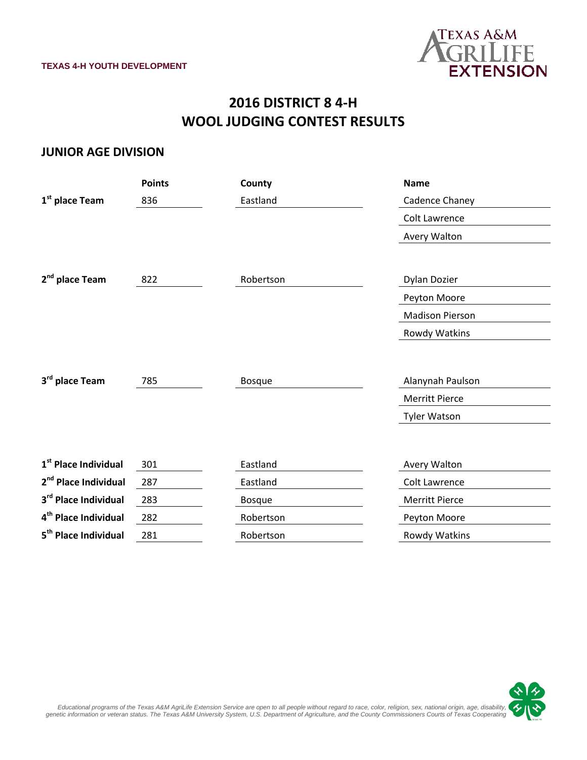

# **2016 DISTRICT 8 4-H WOOL JUDGING CONTEST RESULTS**

#### **JUNIOR AGE DIVISION**

|                                  | <b>Points</b> | County        | <b>Name</b>            |
|----------------------------------|---------------|---------------|------------------------|
| 1 <sup>st</sup> place Team       | 836           | Eastland      | Cadence Chaney         |
|                                  |               |               | Colt Lawrence          |
|                                  |               |               | Avery Walton           |
|                                  |               |               |                        |
| 2 <sup>nd</sup> place Team       | 822           | Robertson     | Dylan Dozier           |
|                                  |               |               | Peyton Moore           |
|                                  |               |               | <b>Madison Pierson</b> |
|                                  |               |               | Rowdy Watkins          |
|                                  |               |               |                        |
| 3rd place Team                   | 785           | <b>Bosque</b> | Alanynah Paulson       |
|                                  |               |               |                        |
|                                  |               |               | <b>Merritt Pierce</b>  |
|                                  |               |               | <b>Tyler Watson</b>    |
|                                  |               |               |                        |
| 1 <sup>st</sup> Place Individual | 301           | Eastland      | Avery Walton           |
| 2 <sup>nd</sup> Place Individual | 287           | Eastland      | Colt Lawrence          |
| 3rd Place Individual             | 283           | <b>Bosque</b> | <b>Merritt Pierce</b>  |
| 4 <sup>th</sup> Place Individual | 282           | Robertson     | Peyton Moore           |
| 5 <sup>th</sup> Place Individual | 281           | Robertson     | Rowdy Watkins          |

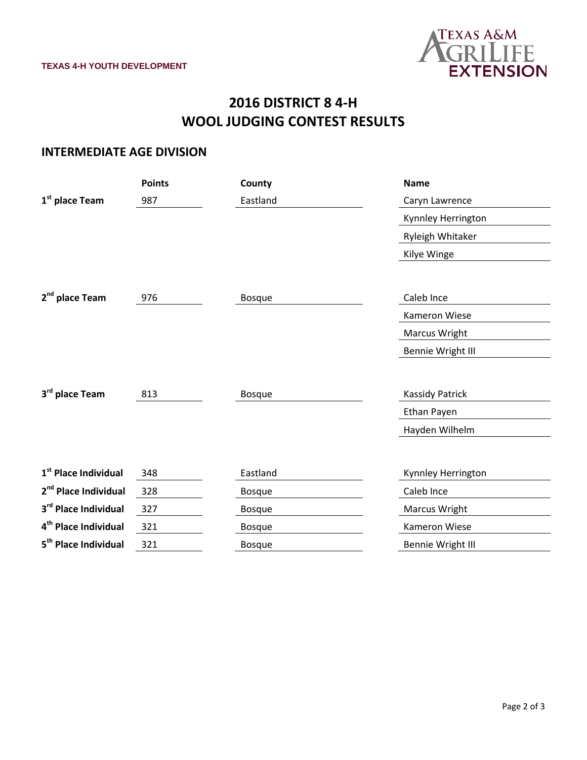

# **2016 DISTRICT 8 4-H WOOL JUDGING CONTEST RESULTS**

### **INTERMEDIATE AGE DIVISION**

|                                  | <b>Points</b> | County        | <b>Name</b>            |
|----------------------------------|---------------|---------------|------------------------|
| 1 <sup>st</sup> place Team       | 987           | Eastland      | Caryn Lawrence         |
|                                  |               |               | Kynnley Herrington     |
|                                  |               |               | Ryleigh Whitaker       |
|                                  |               |               | Kilye Winge            |
|                                  |               |               |                        |
| 2 <sup>nd</sup> place Team       | 976           | <b>Bosque</b> | Caleb Ince             |
|                                  |               |               | Kameron Wiese          |
|                                  |               |               | <b>Marcus Wright</b>   |
|                                  |               |               | Bennie Wright III      |
|                                  |               |               |                        |
| 3rd place Team                   | 813           | <b>Bosque</b> | <b>Kassidy Patrick</b> |
|                                  |               |               | Ethan Payen            |
|                                  |               |               | Hayden Wilhelm         |
|                                  |               |               |                        |
| 1 <sup>st</sup> Place Individual | 348           | Eastland      | Kynnley Herrington     |
| 2 <sup>nd</sup> Place Individual | 328           | <b>Bosque</b> | Caleb Ince             |
| 3rd Place Individual             | 327           | <b>Bosque</b> | <b>Marcus Wright</b>   |
| 4 <sup>th</sup> Place Individual | 321           | <b>Bosque</b> | Kameron Wiese          |
| 5 <sup>th</sup> Place Individual | 321           | <b>Bosque</b> | Bennie Wright III      |